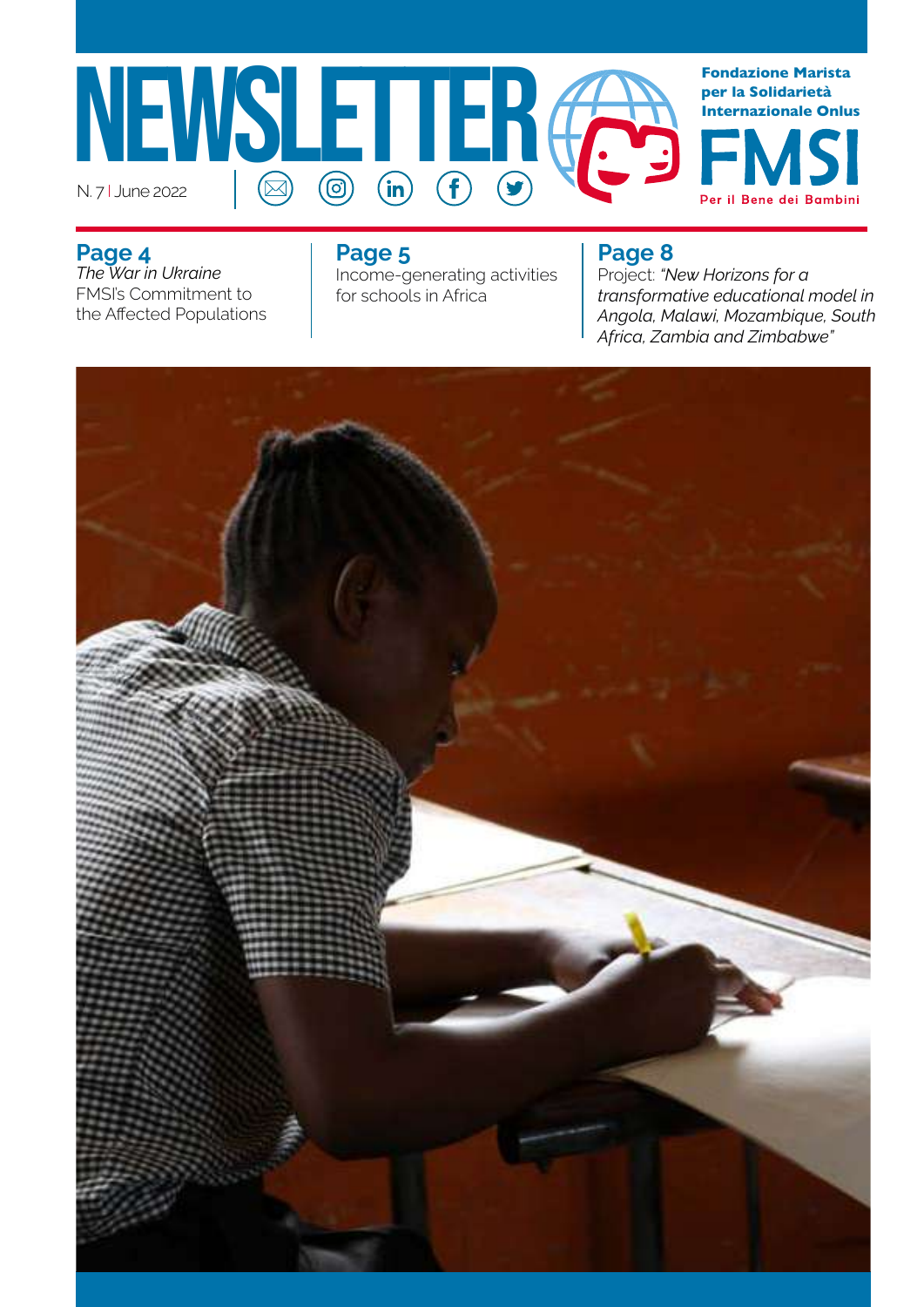

**Page 4** *The War in Ukraine*  FMSI's Commitment to the Affected Populations

### **Page 5**

Income-generating activities for schools in Africa

### **Page 8**

Project: *"New Horizons for a transformative educational model in Angola, Malawi, Mozambique, South Africa, Zambia and Zimbabwe"*

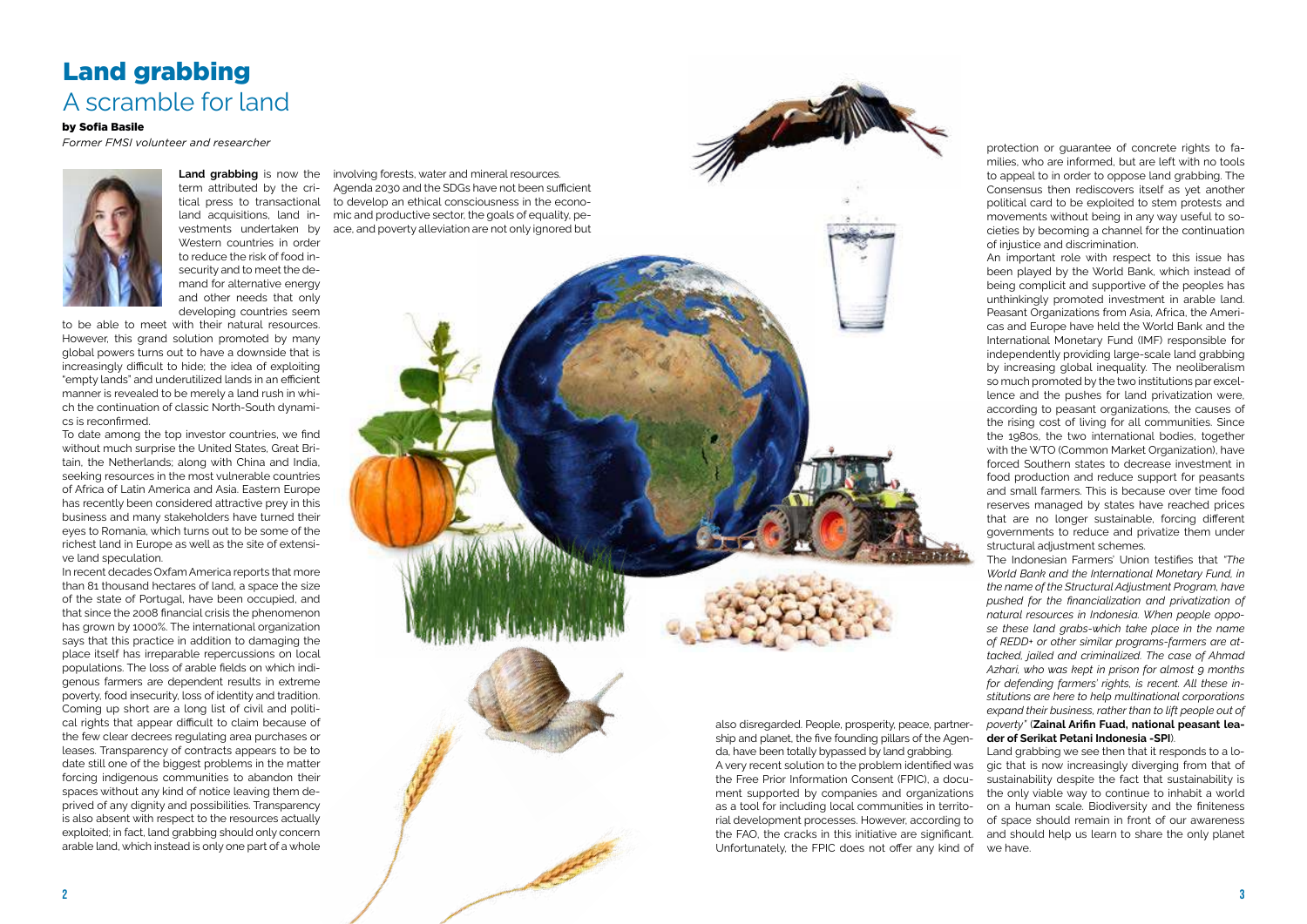**Land grabbing** is now the term attributed by the critical press to transactional land acquisitions, land investments undertaken by Western countries in order to reduce the risk of food insecurity and to meet the demand for alternative energy and other needs that only developing countries seem

to be able to meet with their natural resources. However, this grand solution promoted by many global powers turns out to have a downside that is increasingly difficult to hide; the idea of exploiting "empty lands" and underutilized lands in an efficient manner is revealed to be merely a land rush in which the continuation of classic North-South dynamics is reconfirmed.

To date among the top investor countries, we find without much surprise the United States, Great Britain, the Netherlands; along with China and India, seeking resources in the most vulnerable countries of Africa of Latin America and Asia. Eastern Europe has recently been considered attractive prey in this business and many stakeholders have turned their eyes to Romania, which turns out to be some of the richest land in Europe as well as the site of extensive land speculation.

In recent decades Oxfam America reports that more than 81 thousand hectares of land, a space the size of the state of Portugal, have been occupied, and that since the 2008 financial crisis the phenomenon has grown by 1000%. The international organization says that this practice in addition to damaging the place itself has irreparable repercussions on local populations. The loss of arable fields on which indigenous farmers are dependent results in extreme poverty, food insecurity, loss of identity and tradition. Coming up short are a long list of civil and political rights that appear difficult to claim because of the few clear decrees regulating area purchases or leases. Transparency of contracts appears to be to date still one of the biggest problems in the matter forcing indigenous communities to abandon their spaces without any kind of notice leaving them deprived of any dignity and possibilities. Transparency is also absent with respect to the resources actually exploited; in fact, land grabbing should only concern arable land, which instead is only one part of a whole

involving forests, water and mineral resources. Agenda 2030 and the SDGs have not been sufficient to develop an ethical consciousness in the economic and productive sector, the goals of equality, peace, and poverty alleviation are not only ignored but

### Land grabbing A scramble for land

also disregarded. People, prosperity, peace, partnership and planet, the five founding pillars of the Agenda, have been totally bypassed by land grabbing. A very recent solution to the problem identified was the Free Prior Information Consent (FPIC), a document supported by companies and organizations as a tool for including local communities in territorial development processes. However, according to the FAO, the cracks in this initiative are significant. Unfortunately, the FPIC does not offer any kind of

protection or guarantee of concrete rights to families, who are informed, but are left with no tools to appeal to in order to oppose land grabbing. The Consensus then rediscovers itself as yet another political card to be exploited to stem protests and movements without being in any way useful to societies by becoming a channel for the continuation of injustice and discrimination.

An important role with respect to this issue has been played by the World Bank, which instead of being complicit and supportive of the peoples has unthinkingly promoted investment in arable land. Peasant Organizations from Asia, Africa, the Americas and Europe have held the World Bank and the International Monetary Fund (IMF) responsible for independently providing large-scale land grabbing by increasing global inequality. The neoliberalism so much promoted by the two institutions par excellence and the pushes for land privatization were, according to peasant organizations, the causes of the rising cost of living for all communities. Since the 1980s, the two international bodies, together with the WTO (Common Market Organization), have forced Southern states to decrease investment in food production and reduce support for peasants and small farmers. This is because over time food reserves managed by states have reached prices that are no longer sustainable, forcing different governments to reduce and privatize them under structural adjustment schemes.

The Indonesian Farmers' Union testifies that *"The World Bank and the International Monetary Fund, in the name of the Structural Adjustment Program, have pushed for the financialization and privatization of natural resources in Indonesia. When people oppose these land grabs-which take place in the name of REDD+ or other similar programs-farmers are attacked, jailed and criminalized. The case of Ahmad Azhari, who was kept in prison for almost 9 months for defending farmers' rights, is recent. All these institutions are here to help multinational corporations expand their business, rather than to lift people out of poverty"* (**Zainal Arifin Fuad, national peasant leader of Serikat Petani Indonesia -SPI**).

Land grabbing we see then that it responds to a logic that is now increasingly diverging from that of sustainability despite the fact that sustainability is the only viable way to continue to inhabit a world on a human scale. Biodiversity and the finiteness of space should remain in front of our awareness and should help us learn to share the only planet we have.

### by Sofia Basile

*Former FMSI volunteer and researcher*

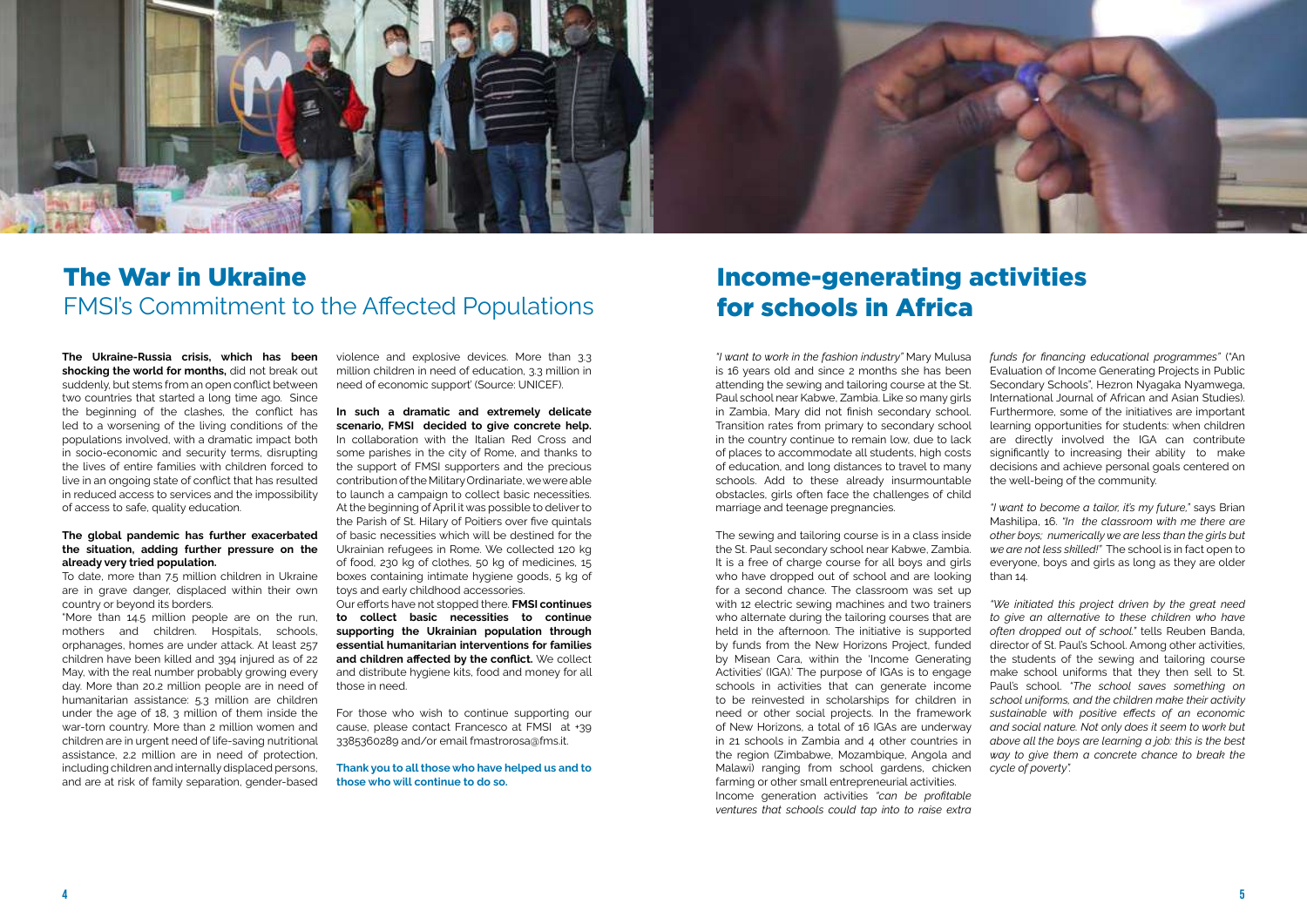**The Ukraine-Russia crisis, which has been shocking the world for months,** did not break out suddenly, but stems from an open conflict between two countries that started a long time ago. Since the beginning of the clashes, the conflict has led to a worsening of the living conditions of the populations involved, with a dramatic impact both in socio-economic and security terms, disrupting the lives of entire families with children forced to live in an ongoing state of conflict that has resulted in reduced access to services and the impossibility of access to safe, quality education.

#### **The global pandemic has further exacerbated the situation, adding further pressure on the already very tried population.**

To date, more than 7.5 million children in Ukraine are in grave danger, displaced within their own country or beyond its borders.

"More than 14.5 million people are on the run, mothers and children. Hospitals, schools, orphanages, homes are under attack. At least 257 children have been killed and 394 injured as of 22 May, with the real number probably growing every day. More than 20.2 million people are in need of humanitarian assistance: 5.3 million are children under the age of 18, 3 million of them inside the war-torn country. More than 2 million women and children are in urgent need of life-saving nutritional assistance, 2.2 million are in need of protection, including children and internally displaced persons, and are at risk of family separation, gender-based

violence and explosive devices. More than 3.3 million children in need of education, 3.3 million in need of economic support' (Source: UNICEF).

**In such a dramatic and extremely delicate scenario, FMSI decided to give concrete help.** In collaboration with the Italian Red Cross and some parishes in the city of Rome, and thanks to the support of FMSI supporters and the precious contribution of the Military Ordinariate, we were able to launch a campaign to collect basic necessities. At the beginning of April it was possible to deliver to the Parish of St. Hilary of Poitiers over five quintals of basic necessities which will be destined for the Ukrainian refugees in Rome. We collected 120 kg of food, 230 kg of clothes, 50 kg of medicines, 15 boxes containing intimate hygiene goods, 5 kg of toys and early childhood accessories.

Our efforts have not stopped there. **FMSI continues to collect basic necessities to continue supporting the Ukrainian population through essential humanitarian interventions for families and children affected by the conflict.** We collect and distribute hygiene kits, food and money for all those in need.

For those who wish to continue supporting our cause, please contact Francesco at FMSI at +39 3385360289 and/or email fmastrorosa@fms.it.

**Thank you to all those who have helped us and to those who will continue to do so.**



### The War in Ukraine FMSI's Commitment to the Affected Populations

*"I want to work in the fashion industry"* Mary Mulusa is 16 years old and since 2 months she has been attending the sewing and tailoring course at the St. Paul school near Kabwe, Zambia. Like so many girls in Zambia, Mary did not finish secondary school. Transition rates from primary to secondary school in the country continue to remain low, due to lack of places to accommodate all students, high costs of education, and long distances to travel to many schools. Add to these already insurmountable obstacles, girls often face the challenges of child marriage and teenage pregnancies.

The sewing and tailoring course is in a class inside the St. Paul secondary school near Kabwe, Zambia. It is a free of charge course for all boys and girls who have dropped out of school and are looking for a second chance. The classroom was set up with 12 electric sewing machines and two trainers who alternate during the tailoring courses that are held in the afternoon. The initiative is supported by funds from the New Horizons Project, funded by Misean Cara, within the 'Income Generating Activities' (IGA).' The purpose of IGAs is to engage schools in activities that can generate income to be reinvested in scholarships for children in need or other social projects. In the framework of New Horizons, a total of 16 IGAs are underway in 21 schools in Zambia and 4 other countries in the region (Zimbabwe, Mozambique, Angola and Malawi) ranging from school gardens, chicken farming or other small entrepreneurial activities. Income generation activities *"can be profitable ventures that schools could tap into to raise extra* 

*funds for financing educational programmes"* ("An Evaluation of Income Generating Projects in Public Secondary Schools", Hezron Nyagaka Nyamwega, International Journal of African and Asian Studies). Furthermore, some of the initiatives are important learning opportunities for students: when children are directly involved the IGA can contribute significantly to increasing their ability to make decisions and achieve personal goals centered on the well-being of the community.

*"I want to become a tailor, it's my future,"* says Brian Mashilipa, 16. *"In the classroom with me there are other boys; numerically we are less than the girls but we are not less skilled!"* The school is in fact open to everyone, boys and girls as long as they are older than 14.

*"We initiated this project driven by the great need to give an alternative to these children who have often dropped out of school."* tells Reuben Banda, director of St. Paul's School. Among other activities, the students of the sewing and tailoring course make school uniforms that they then sell to St. Paul's school. *"The school saves something on school uniforms, and the children make their activity sustainable with positive effects of an economic and social nature. Not only does it seem to work but above all the boys are learning a job: this is the best way to give them a concrete chance to break the cycle of poverty".*

### Income-generating activities for schools in Africa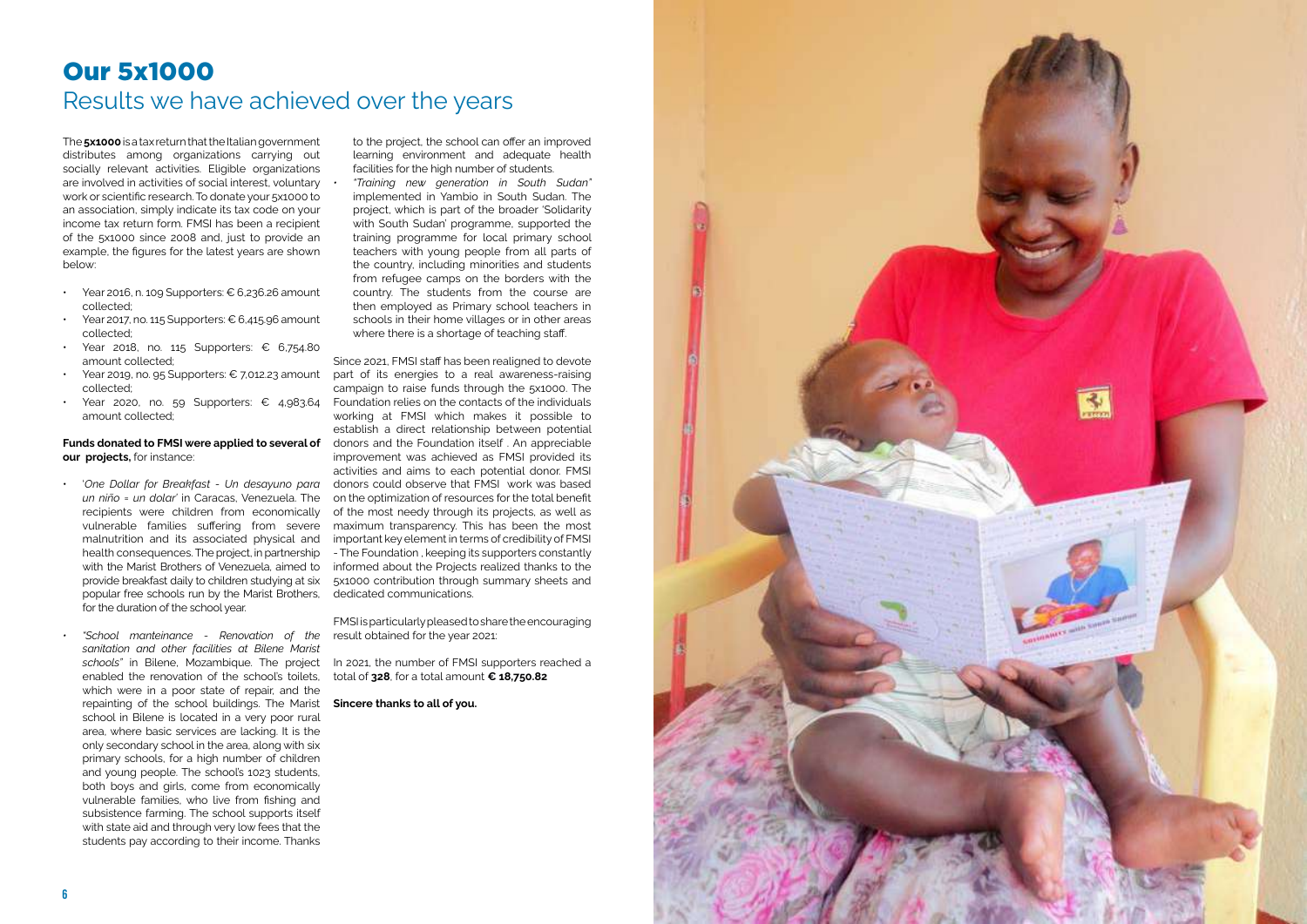The **5x1000** is a tax return that the Italian government distributes among organizations carrying out socially relevant activities. Eligible organizations are involved in activities of social interest, voluntary work or scientific research. To donate your 5x1000 to an association, simply indicate its tax code on your income tax return form. FMSI has been a recipient of the 5x1000 since 2008 and, just to provide an example, the figures for the latest years are shown below:

- Year 2016, n. 109 Supporters: € 6,236.26 amount collected;
- Year 2017, no. 115 Supporters:  $\epsilon$  6,415.96 amount collected;
- Year 2018, no. 115 Supporters: € 6,754.80 amount collected;
- Year 2019, no. 95 Supporters: € 7,012.23 amount collected;
- Year 2020, no. 59 Supporters: € 4,983.64 amount collected;

#### **Funds donated to FMSI were applied to several of our projects,** for instance:

to the project, the school can offer an improved learning environment and adequate health facilities for the high number of students.

*• "Training new generation in South Sudan"*  implemented in Yambio in South Sudan. The project, which is part of the broader 'Solidarity with South Sudan' programme, supported the training programme for local primary school teachers with young people from all parts of the country, including minorities and students from refugee camps on the borders with the country. The students from the course are then employed as Primary school teachers in schools in their home villages or in other areas where there is a shortage of teaching staff.

- '*One Dollar for Breakfast Un desayuno para un niño = un dolar'* in Caracas, Venezuela. The recipients were children from economically vulnerable families suffering from severe malnutrition and its associated physical and health consequences. The project, in partnership with the Marist Brothers of Venezuela, aimed to provide breakfast daily to children studying at six popular free schools run by the Marist Brothers, for the duration of the school year.
- *• "School manteinance Renovation of the sanitation and other facilities at Bilene Marist schools"* in Bilene, Mozambique. The project enabled the renovation of the school's toilets, which were in a poor state of repair, and the repainting of the school buildings. The Marist **Sincere thanks to all of you.**  school in Bilene is located in a very poor rural area, where basic services are lacking. It is the only secondary school in the area, along with six primary schools, for a high number of children and young people. The school's 1023 students, both boys and girls, come from economically vulnerable families, who live from fishing and subsistence farming. The school supports itself with state aid and through very low fees that the students pay according to their income. Thanks

Since 2021, FMSI staff has been realigned to devote part of its energies to a real awareness-raising campaign to raise funds through the 5x1000. The Foundation relies on the contacts of the individuals working at FMSI which makes it possible to establish a direct relationship between potential donors and the Foundation itself . An appreciable improvement was achieved as FMSI provided its activities and aims to each potential donor. FMSI donors could observe that FMSI work was based on the optimization of resources for the total benefit of the most needy through its projects, as well as maximum transparency. This has been the most important key element in terms of credibility of FMSI - The Foundation , keeping its supporters constantly informed about the Projects realized thanks to the 5x1000 contribution through summary sheets and dedicated communications.

FMSI is particularly pleased to share the encouraging result obtained for the year 2021:

In 2021, the number of FMSI supporters reached a total of **328**, for a total amount **€ 18,750.82**



## Our 5x1000 Results we have achieved over the years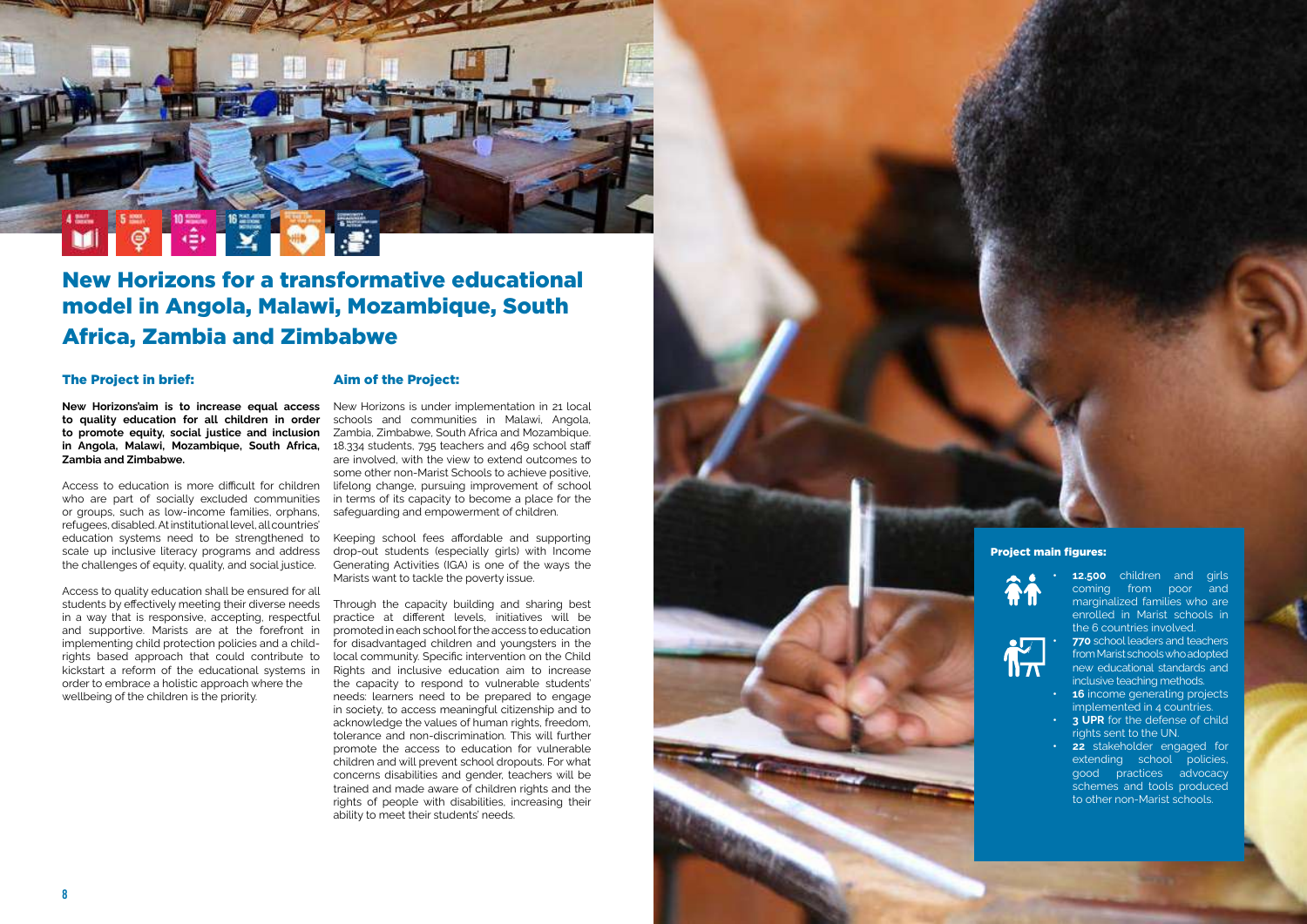

### New Horizons for a transformative educational model in Angola, Malawi, Mozambique, South Africa, Zambia and Zimbabwe

### The Project in brief:

**to quality education for all children in order to promote equity, social justice and inclusion in Angola, Malawi, Mozambique, South Africa, Zambia and Zimbabwe.**

Access to education is more difficult for children who are part of socially excluded communities or groups, such as low-income families, orphans, refugees, disabled. At institutional level, all countries' education systems need to be strengthened to scale up inclusive literacy programs and address the challenges of equity, quality, and social justice.

**New Horizons'aim is to increase equal access** New Horizons is under implementation in 21 local schools and communities in Malawi, Angola, Zambia, Zimbabwe, South Africa and Mozambique. 18.334 students, 795 teachers and 469 school staff are involved, with the view to extend outcomes to some other non-Marist Schools to achieve positive, lifelong change, pursuing improvement of school in terms of its capacity to become a place for the safeguarding and empowerment of children.

Access to quality education shall be ensured for all students by effectively meeting their diverse needs in a way that is responsive, accepting, respectful and supportive. Marists are at the forefront in implementing child protection policies and a childrights based approach that could contribute to kickstart a reform of the educational systems in order to embrace a holistic approach where the wellbeing of the children is the priority.

### Aim of the Project:

**12.500** children and girls coming from poor and marginalized families who are enrolled in Marist schools in the 6 countries involved.

- **16** income generating projects implemented in 4 countries.
- **•• 3 UPR** for the defense of child rights sent to the UN.
- **22** stakeholder engaged for extending school policies, good practices advocacy schemes and tools produced to other non-Marist schools.

Keeping school fees affordable and supporting drop-out students (especially girls) with Income Generating Activities (IGA) is one of the ways the Marists want to tackle the poverty issue.

Through the capacity building and sharing best practice at different levels, initiatives will be promoted in each school for the access to education for disadvantaged children and youngsters in the local community. Specific intervention on the Child Rights and inclusive education aim to increase the capacity to respond to vulnerable students' needs: learners need to be prepared to engage in society, to access meaningful citizenship and to acknowledge the values of human rights, freedom, tolerance and non-discrimination. This will further promote the access to education for vulnerable children and will prevent school dropouts. For what concerns disabilities and gender, teachers will be trained and made aware of children rights and the rights of people with disabilities, increasing their ability to meet their students' needs.



**• 770** school leaders and teachers from Marist schools who adopted new educational standards and inclusive teaching methods.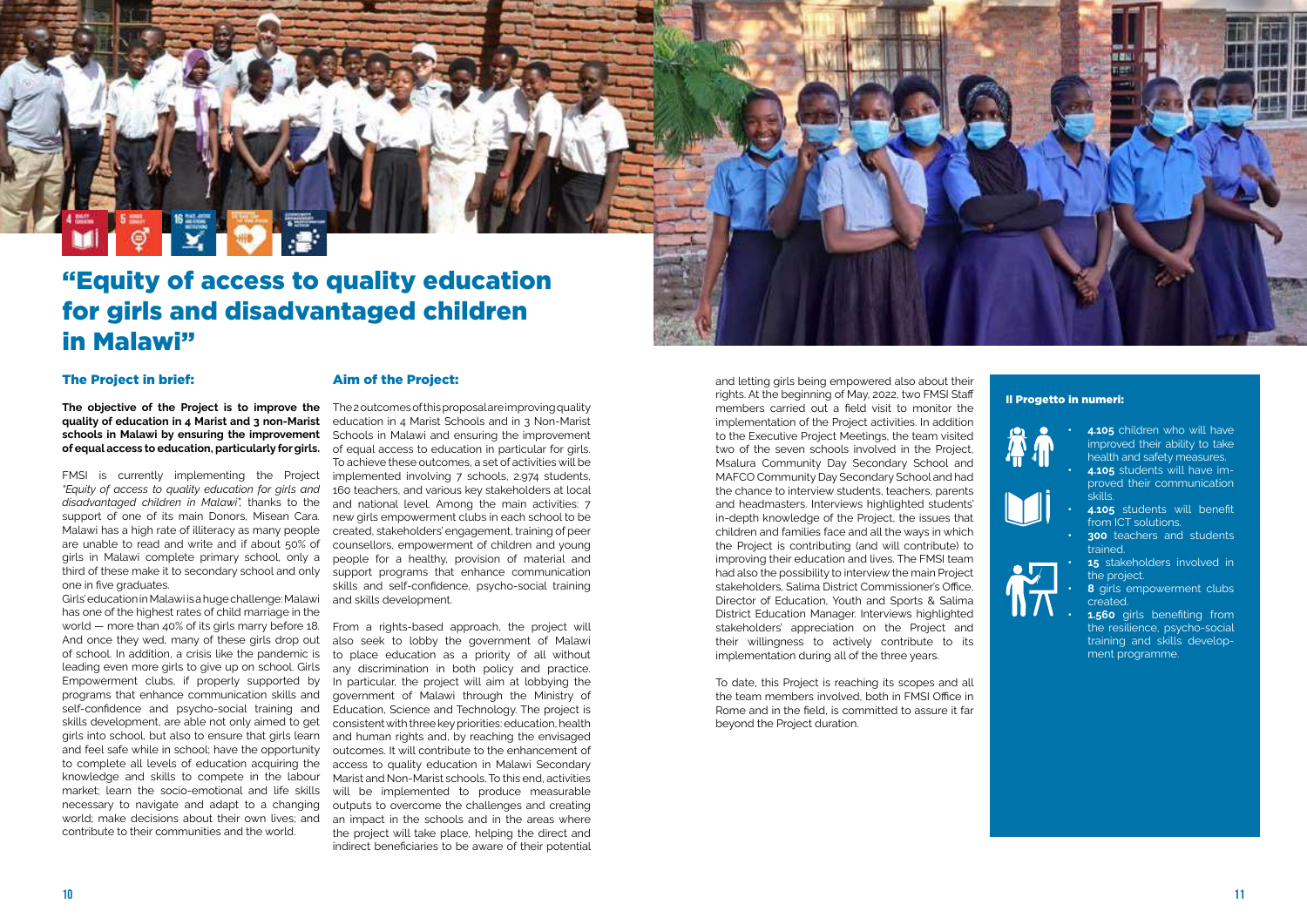### "Equity of access to quality education for girls and disadvantaged children in Malawi"

### The Project in brief:

**quality of education in 4 Marist and 3 non-Marist schools in Malawi by ensuring the improvement** 

FMSI is currently implementing the Project *"Equity of access to quality education for girls and disadvantaged children in Malawi",* thanks to the support of one of its main Donors, Misean Cara. Malawi has a high rate of illiteracy as many people are unable to read and write and if about 50% of girls in Malawi complete primary school, only a third of these make it to secondary school and only support programs that enhance communication one in five graduates.

**The objective of the Project is to improve the** The2outcomesofthisproposalareimproving quality of equal access to education, particularly for girls. of equal access to education in particular for girls. education in 4 Marist Schools and in 3 Non-Marist Schools in Malawi and ensuring the improvement To achieve these outcomes, a set of activities will be implemented involving 7 schools, 2.974 students, 160 teachers, and various key stakeholders at local and national level. Among the main activities: 7 new girls empowerment clubs in each school to be created, stakeholders' engagement, training of peer counsellors, empowerment of children and young people for a healthy, provision of material and skills and self-confidence, psycho-social training

Girls' education in Malawi is a huge challenge: Malawi and skills development. has one of the highest rates of child marriage in the world — more than 40% of its girls marry before 18. And once they wed, many of these girls drop out of school. In addition, a crisis like the pandemic is leading even more girls to give up on school. Girls Empowerment clubs, if properly supported by programs that enhance communication skills and self-confidence and psycho-social training and skills development, are able not only aimed to get girls into school, but also to ensure that girls learn and feel safe while in school; have the opportunity to complete all levels of education acquiring the knowledge and skills to compete in the labour market; learn the socio-emotional and life skills necessary to navigate and adapt to a changing world; make decisions about their own lives; and contribute to their communities and the world.

### Aim of the Project:

- **4.105** children who will have improved their ability to take health and safety measures. **• 4.105** students will have im-
- proved their communication skills.
- **• 4.105** students will benefit from ICT solutions.
- **• 300** teachers and students trained.
- **15** stakeholders involved in the project.
- **• 8** girls empowerment clubs created.
- **1.560** girls benefiting from the resilience, psycho-social training and skills development programme.

From a rights-based approach, the project will also seek to lobby the government of Malawi to place education as a priority of all without any discrimination in both policy and practice. In particular, the project will aim at lobbying the government of Malawi through the Ministry of Education, Science and Technology. The project is consistent with three key priorities: education, health and human rights and, by reaching the envisaged outcomes. It will contribute to the enhancement of access to quality education in Malawi Secondary Marist and Non-Marist schools. To this end, activities will be implemented to produce measurable outputs to overcome the challenges and creating an impact in the schools and in the areas where the project will take place, helping the direct and indirect beneficiaries to be aware of their potential and letting girls being empowered also about their rights. At the beginning of May, 2022, two FMSI Staff members carried out a field visit to monitor the implementation of the Project activities. In addition to the Executive Project Meetings, the team visited two of the seven schools involved in the Project, Msalura Community Day Secondary School and MAFCO Community Day Secondary School and had the chance to interview students, teachers, parents and headmasters. Interviews highlighted students' in-depth knowledge of the Project, the issues that children and families face and all the ways in which the Project is contributing (and will contribute) to improving their education and lives. The FMSI team had also the possibility to interview the main Project stakeholders, Salima District Commissioner's Office, Director of Education, Youth and Sports & Salima District Education Manager. Interviews highlighted stakeholders' appreciation on the Project and their willingness to actively contribute to its implementation during all of the three years.

To date, this Project is reaching its scopes and all the team members involved, both in FMSI Office in Rome and in the field, is committed to assure it far beyond the Project duration.



#### Il Progetto in numeri: